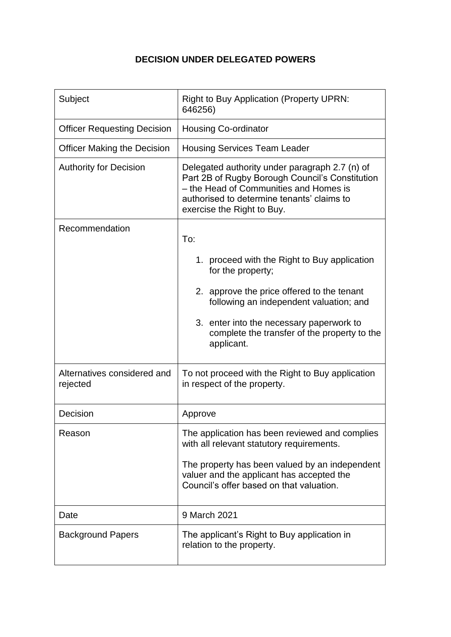## **DECISION UNDER DELEGATED POWERS**

| Subject                                 | <b>Right to Buy Application (Property UPRN:</b><br>646256)                                                                                                                                                              |
|-----------------------------------------|-------------------------------------------------------------------------------------------------------------------------------------------------------------------------------------------------------------------------|
| <b>Officer Requesting Decision</b>      | <b>Housing Co-ordinator</b>                                                                                                                                                                                             |
| <b>Officer Making the Decision</b>      | <b>Housing Services Team Leader</b>                                                                                                                                                                                     |
| <b>Authority for Decision</b>           | Delegated authority under paragraph 2.7 (n) of<br>Part 2B of Rugby Borough Council's Constitution<br>- the Head of Communities and Homes is<br>authorised to determine tenants' claims to<br>exercise the Right to Buy. |
| Recommendation                          | To:                                                                                                                                                                                                                     |
|                                         | 1. proceed with the Right to Buy application<br>for the property;                                                                                                                                                       |
|                                         | 2. approve the price offered to the tenant<br>following an independent valuation; and                                                                                                                                   |
|                                         | 3. enter into the necessary paperwork to<br>complete the transfer of the property to the<br>applicant.                                                                                                                  |
| Alternatives considered and<br>rejected | To not proceed with the Right to Buy application<br>in respect of the property.                                                                                                                                         |
| Decision                                | Approve                                                                                                                                                                                                                 |
| Reason                                  | The application has been reviewed and complies<br>with all relevant statutory requirements.                                                                                                                             |
|                                         | The property has been valued by an independent<br>valuer and the applicant has accepted the<br>Council's offer based on that valuation.                                                                                 |
| Date                                    | 9 March 2021                                                                                                                                                                                                            |
| <b>Background Papers</b>                | The applicant's Right to Buy application in<br>relation to the property.                                                                                                                                                |